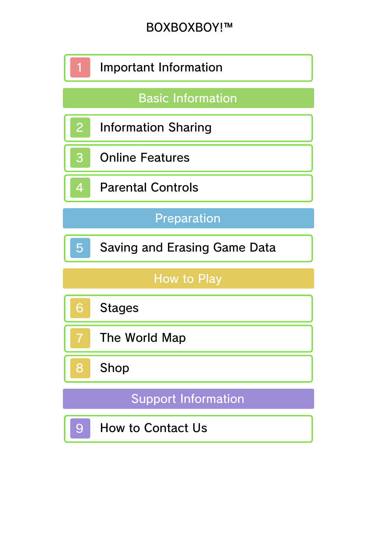### BOXBOXBOY!™

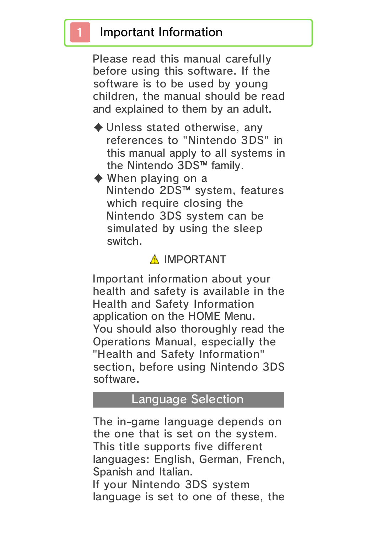Please read this manual carefully before using this software. If the software is to be used by young children, the manual should be read and explained to them by an adult.

- $\blacklozenge$  Unless stated otherwise, any references to "Nintendo 3DS" in this manual apply to all systems in the Nintendo 3DS™ family.
- $\blacklozenge$  When playing on a Nintendo 2DS™ system, features which require closing the Nintendo 3DS system can be simulated by using the sleep switch.

#### A IMPORTANT

Important information about your health and safety is available in the Health and Safety Information application on the HOME Menu. You should also thoroughly read the Operations Manual, especially the "Health and Safety Information" section, before using Nintendo 3DS software.

#### Language Selection

The in-game language depends on the one that is set on the system. This title supports five different languages: English, German, French, Spanish and Italian. If your Nintendo 3DS system language is set to one of these, the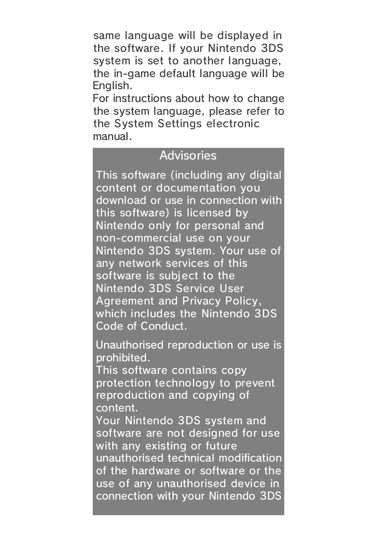same language will be displayed in the software. If your Nintendo 3DS system is set to another language, the in-game default language will be English.

For instructions about how to change the system language, please refer to the System Settings electronic manual.

#### Advisories

This software (including any digital content or documentation you download or use in connection with this software) is licensed by Nintendo only for personal and non-commercial use on your Nintendo 3DS system. Your use of any network services of this software is subject to the Nintendo 3DS Service User Agreement and Privacy Policy, which includes the Nintendo 3DS Code of Conduct.

Unauthorised reproduction or use is prohibited.

This software contains copy protection technology to prevent reproduction and copying of content.

Your Nintendo 3DS system and software are not designed for use with any existing or future

unauthorised technical modification of the hardware or software or the use of any unauthorised device in connection with your Nintendo 3DS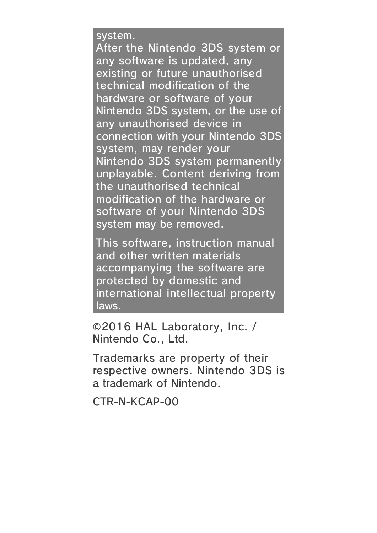system.

After the Nintendo 3DS system or any software is updated, any existing or future unauthorised technical modification of the hardware or software of your Nintendo 3DS system, or the use of any unauthorised device in connection with your Nintendo 3DS system, may render your Nintendo 3DS system permanently unplayable. Content deriving from the unauthorised technical modification of the hardware or software of your Nintendo 3DS system may be removed.

This software, instruction manual and other written materials accompanying the software are protected by domestic and international intellectual property laws.

©2016 HAL Laboratory, Inc. / Nintendo Co., Ltd.

Trademarks are property of their respective owners. Nintendo 3DS is a trademark of Nintendo.

CTR-N-KCAP-00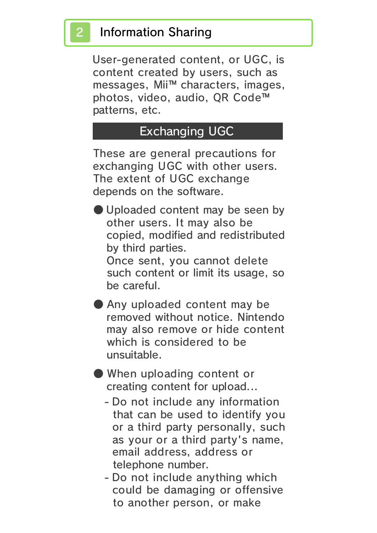User-generated content, or UGC, is content created by users, such as messages, Mii™ characters, images, photos, video, audio, QR Code™ patterns, etc.

#### Exchanging UGC

These are general precautions for exchanging UGC with other users. The extent of UGC exchange depends on the software.

● Uploaded content may be seen by other users. It may also be copied, modified and redistributed by third parties.

Once sent, you cannot delete such content or limit its usage, so be careful.

- Any uploaded content may be removed without notice. Nintendo may also remove or hide content which is considered to be unsuitable.
- When uploading content or creating content for upload...
	- Do not include any information that can be used to identify you or a third party personally, such as your or a third party's name, email address, address or telephone number.
	- Do not include anything which could be damaging or offensive to another person, or make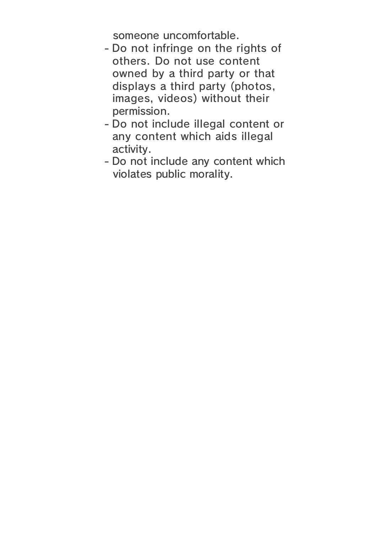someone uncomfortable.

- Do not infringe on the rights of others. Do not use content owned by a third party or that displays a third party (photos, images, videos) without their permission.
- Do not include illegal content or any content which aids illegal activity.
- Do not include any content which violates public morality.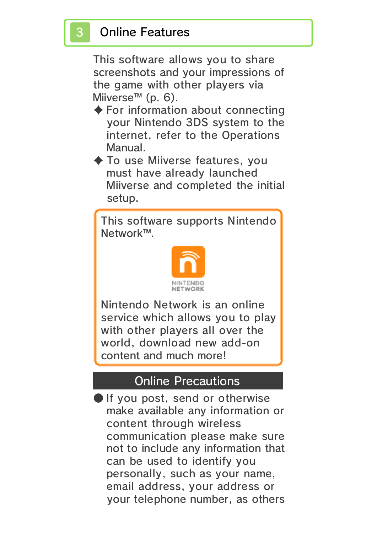#### **Online Features**

This software allows you to share screenshots and your impressions of the game with other players via Miiverse™ (p. 6).

- $\triangle$  For information about connecting your Nintendo 3DS system to the internet, refer to the Operations Manual.
- $\blacklozenge$  To use Miiverse features, you must have already launched Miiverse and completed the initial setup.

Network™. This software supports Nintendo



content and much more! world, download new add-on with other players all over the service which allows you to play Nintendo Network is an online

#### Online Precautions

If you post, send or otherwise make available any information or content through wireless communication please make sure not to include any information that can be used to identify you personally, such as your name, email address, your address or your telephone number, as others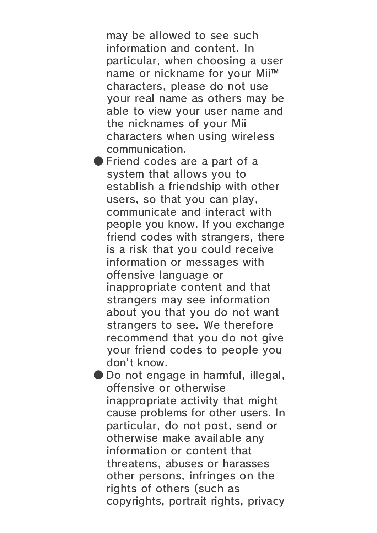may be allowed to see such information and content. In particular, when choosing a user name or nickname for your Mii™ characters, please do not use your real name as others may be able to view your user name and the nicknames of your Mii characters when using wireless communication.

● Friend codes are a part of a system that allows you to establish a friendship with other users, so that you can play, communicate and interact with people you know. If you exchange friend codes with strangers, there is a risk that you could receive information or messages with offensive language or inappropriate content and that strangers may see information about you that you do not want strangers to see. We therefore recommend that you do not give your friend codes to people you don't know.

● Do not engage in harmful, illegal, offensive or otherwise inappropriate activity that might cause problems for other users. In particular, do not post, send or otherwise make available any information or content that threatens, abuses or harasses other persons, infringes on the rights of others (such as copyrights, portrait rights, privacy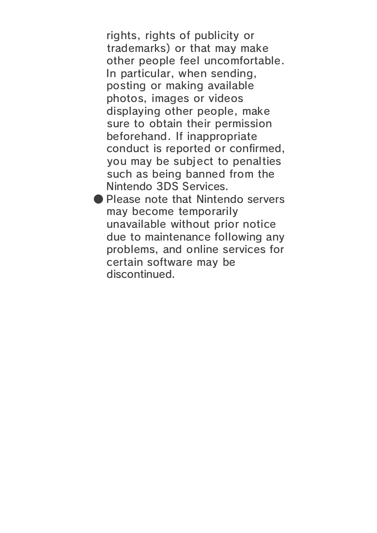rights, rights of publicity or trademarks) or that may make other people feel uncomfortable. In particular, when sending, posting or making available photos, images or videos displaying other people, make sure to obtain their permission beforehand. If inappropriate conduct is reported or confirmed, you may be subject to penalties such as being banned from the Nintendo 3DS Services.

● Please note that Nintendo servers may become temporarily unavailable without prior notice due to maintenance following any problems, and online services for certain software may be discontinued.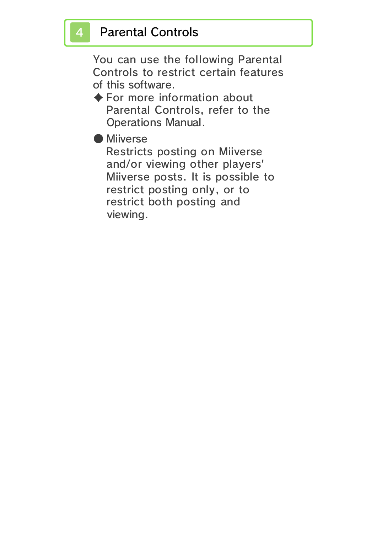You can use the following Parental Controls to restrict certain features of this software.

 $\triangle$  For more information about Parental Controls, refer to the Operations Manual.

● Miiverse

**Restricts posting on Miiverse** and/or viewing other players' Miiverse posts. It is possible to restrict posting only, or to restrict both posting and viewing.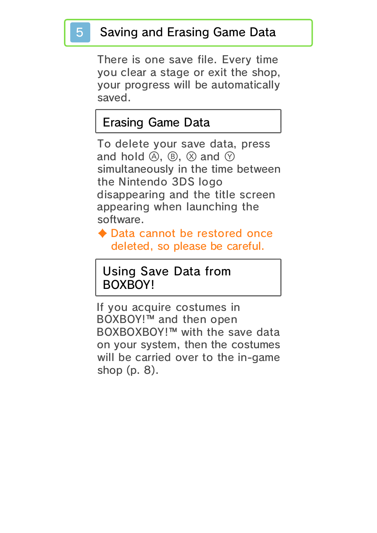There is one save file. Every time you clear a stage or exit the shop, your progress will be automatically saved.

#### Erasing Game Data

To delete your save data, press and hold  $(A, B, \emptyset)$  and  $\emptyset$ simultaneously in the time between the Nintendo 3DS logo disappearing and the title screen appearing when launching the software.

◆ Data cannot be restored once deleted, so please be careful.

BOXBOY! Using Save Data from

If you acquire costumes in BOXBOY!™ and then open BOXBOXBOY!™ with the save data on your system, then the costumes will be carried over to the in-game shop (p. 8).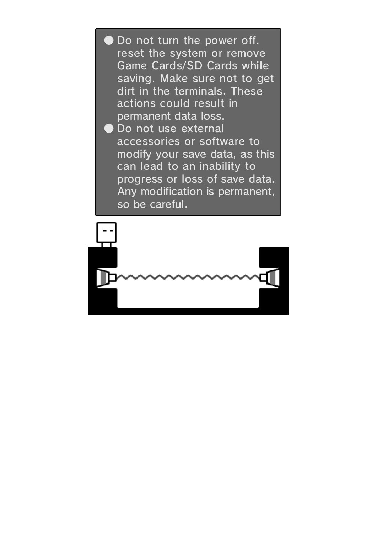so be careful. Any modification is permanent, progress or loss of save data. can lead to an inability to modify your save data, as this accessories or software to ● Do not use external permanent data loss. actions could result in dirt in the terminals. These saving. Make sure not to get Game Cards/SD Cards while reset the system or remove ● Do not turn the power off,

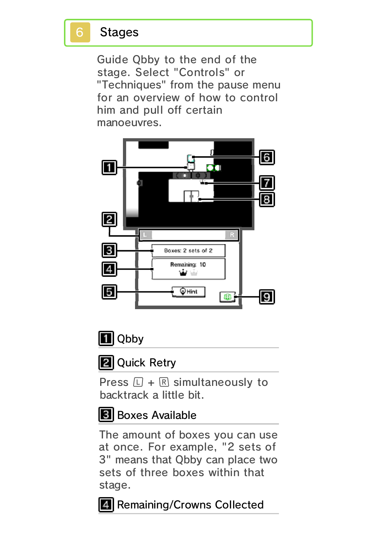#### **Stages**

Guide Qbby to the end of the stage. Select "Controls" or "Techniques" from the pause menu for an overview of how to control him and pull off certain manoeuvres.



## **Qbby**



Press  $\Box$  +  $\Box$  simultaneously to backtrack a little bit.

#### **B** Boxes Available

The amount of boxes you can use at once. For example, "2 sets of 3" means that Qbby can place two sets of three boxes within that stage.

#### **Remaining/Crowns Collected**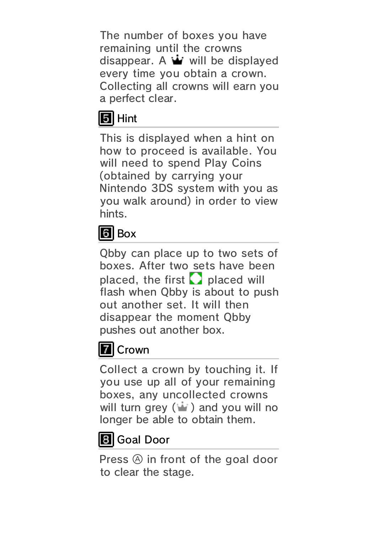The number of boxes you have remaining until the crowns disappear. A  $\ddot{\bullet}$  will be displayed every time you obtain a crown. Collecting all crowns will earn you a perfect clear.

## 5 Hint

This is displayed when a hint on how to proceed is available. You will need to spend Play Coins (obtained by carrying your Nintendo 3DS system with you as you walk around) in order to view hints.

## **GI** Box

Qbby can place up to two sets of boxes. After two sets have been placed, the first  $\Box$  placed will flash when Qbby is about to push out another set. It will then disappear the moment Qbby pushes out another box.

## **Z** Crown

Collect a crown by touching it. If you use up all of your remaining boxes, any uncollected crowns will turn grey ( $\blacksquare$ ) and you will no longer be able to obtain them.

## **8** Goal Door

Press  $\circledA$  in front of the goal door to clear the stage.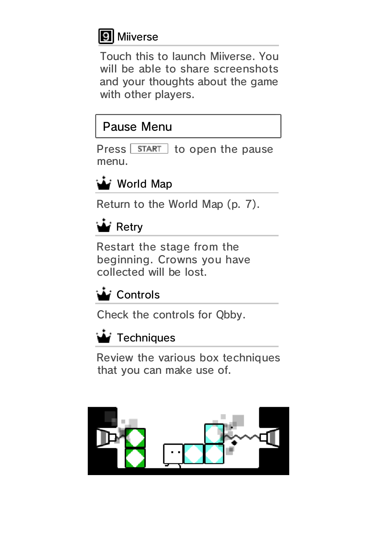## **9** Miiverse

Touch this to launch Miiverse. You will be able to share screenshots and your thoughts about the game with other players.

#### Pause Menu

Press START to open the pause menu.

### World Map

Return to the World Map (p. 7).

## **W** Retry

Restart the stage from the beginning. Crowns you have collected will be lost.

## **W** Controls

Check the controls for Qbby.

## **W** Techniques

Review the various box techniques that you can make use of.

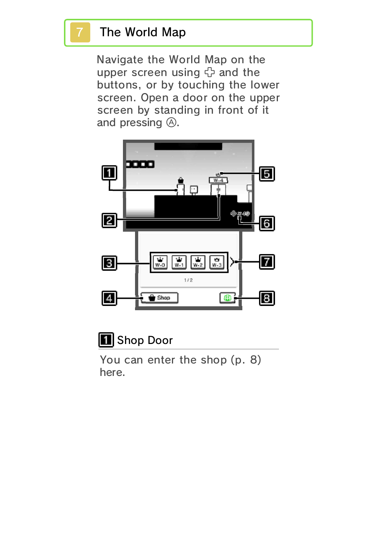#### The World Map

Navigate the World Map on the upper screen using  $\bigoplus$  and the buttons, or by touching the lower screen. Open a door on the upper screen by standing in front of it and pressing  $\circledA$ .



## **1** Shop Door

You can enter the shop (p. 8) here.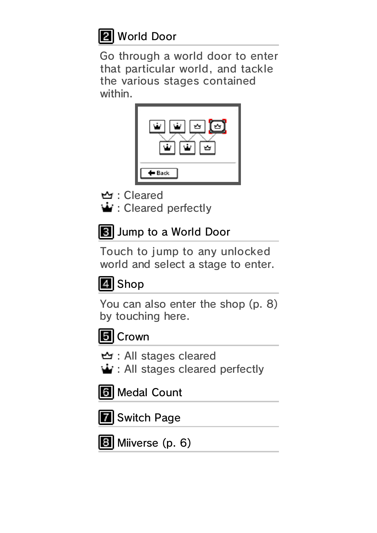## **2** World Door

Go through a world door to enter that particular world, and tackle the various stages contained within.



: Cleared

**W** : Cleared perfectly

## **B** Jump to a World Door

Touch to jump to any unlocked world and select a stage to enter.

## **4** Shop

You can also enter the shop (p. 8) by touching here.

**5** Crown

- : All stages cleared
- $\dot{w}$ : All stages cleared perfectly

**6** Medal Count

**7** Switch Page

**B** Miiverse (p. 6)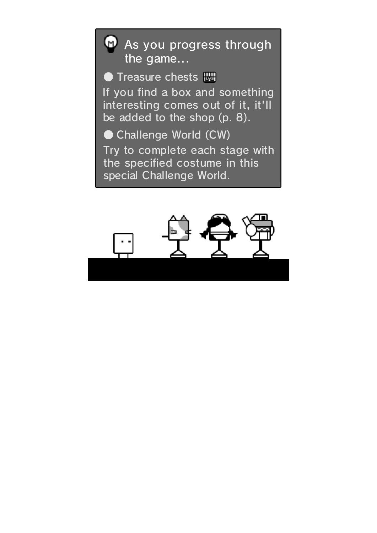#### the game... **H** As you progress through

● Treasure chests be added to the shop (p. 8). interesting comes out of it, it'll If you find a box and something

the specified costume in this Try to complete each stage with ● Challenge World (CW)

special Challenge World.

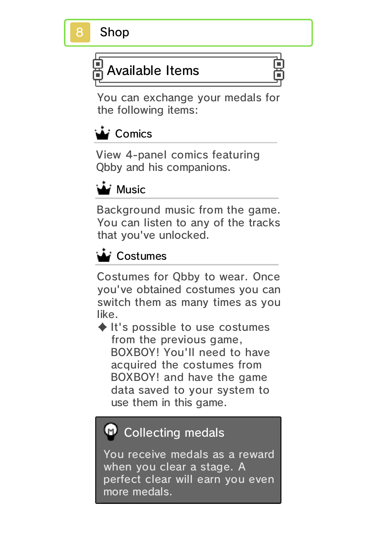# Available Items



You can exchange your medals for the following items:

## Comics

View 4-panel comics featuring Qbby and his companions.

## $\boldsymbol{\dot{w}}$  Music

Background music from the game. You can listen to any of the tracks that you've unlocked.

## Costumes

Costumes for Qbby to wear. Once you've obtained costumes you can switch them as many times as you like.

 $\triangle$  It's possible to use costumes from the previous game, BOXBOY! You'll need to have acquired the costumes from BOXBOY! and have the game data saved to your system to use them in this game.

## **Collecting medals**

more medals. perfect clear will earn you even when you clear a stage. A You receive medals as a reward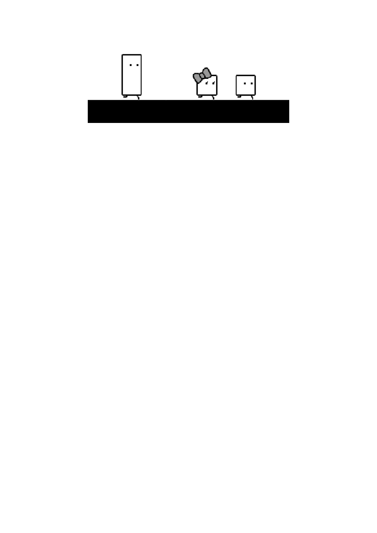